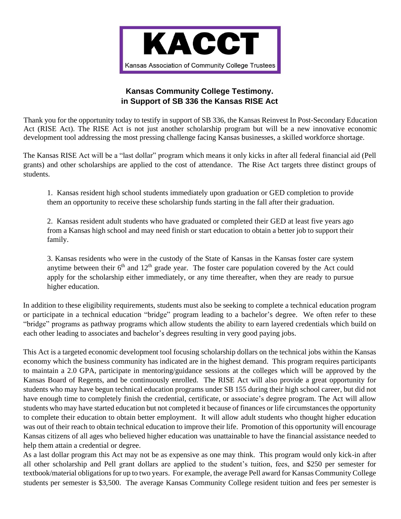

## **Kansas Community College Testimony. in Support of SB 336 the Kansas RISE Act**

Thank you for the opportunity today to testify in support of SB 336, the Kansas Reinvest In Post-Secondary Education Act (RISE Act). The RISE Act is not just another scholarship program but will be a new innovative economic development tool addressing the most pressing challenge facing Kansas businesses, a skilled workforce shortage.

The Kansas RISE Act will be a "last dollar" program which means it only kicks in after all federal financial aid (Pell grants) and other scholarships are applied to the cost of attendance. The Rise Act targets three distinct groups of students.

1. Kansas resident high school students immediately upon graduation or GED completion to provide them an opportunity to receive these scholarship funds starting in the fall after their graduation.

2. Kansas resident adult students who have graduated or completed their GED at least five years ago from a Kansas high school and may need finish or start education to obtain a better job to support their family.

3. Kansas residents who were in the custody of the State of Kansas in the Kansas foster care system anytime between their  $6<sup>th</sup>$  and  $12<sup>th</sup>$  grade year. The foster care population covered by the Act could apply for the scholarship either immediately, or any time thereafter, when they are ready to pursue higher education.

In addition to these eligibility requirements, students must also be seeking to complete a technical education program or participate in a technical education "bridge" program leading to a bachelor's degree. We often refer to these "bridge" programs as pathway programs which allow students the ability to earn layered credentials which build on each other leading to associates and bachelor's degrees resulting in very good paying jobs.

This Act is a targeted economic development tool focusing scholarship dollars on the technical jobs within the Kansas economy which the business community has indicated are in the highest demand. This program requires participants to maintain a 2.0 GPA, participate in mentoring/guidance sessions at the colleges which will be approved by the Kansas Board of Regents, and be continuously enrolled. The RISE Act will also provide a great opportunity for students who may have begun technical education programs under SB 155 during their high school career, but did not have enough time to completely finish the credential, certificate, or associate's degree program. The Act will allow students who may have started education but not completed it because of finances or life circumstances the opportunity to complete their education to obtain better employment. It will allow adult students who thought higher education was out of their reach to obtain technical education to improve their life. Promotion of this opportunity will encourage Kansas citizens of all ages who believed higher education was unattainable to have the financial assistance needed to help them attain a credential or degree.

As a last dollar program this Act may not be as expensive as one may think. This program would only kick-in after all other scholarship and Pell grant dollars are applied to the student's tuition, fees, and \$250 per semester for textbook/material obligationsfor up to two years. For example, the average Pell award for Kansas Community College students per semester is \$3,500. The average Kansas Community College resident tuition and fees per semester is